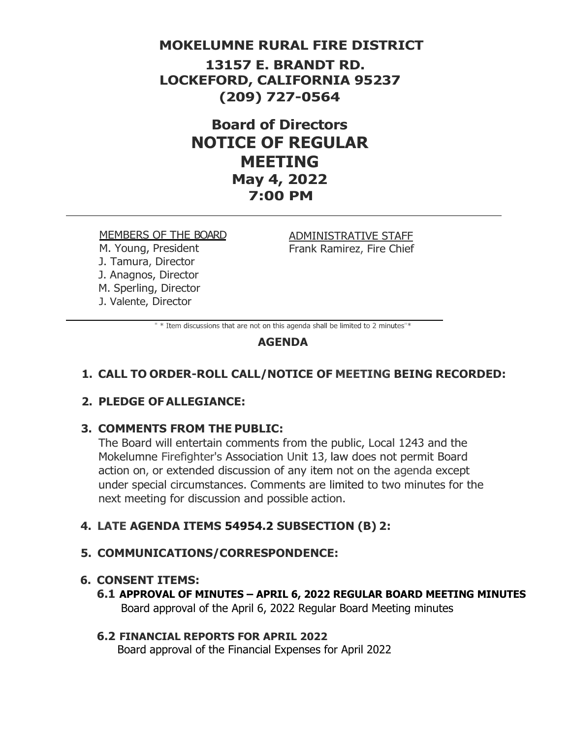### **MOKELUMNE RURAL FIRE DISTRICT**

**13157 E. BRANDT RD. LOCKEFORD, CALIFORNIA 95237 (209) 727-0564**

> **Board of Directors NOTICE OF REGULAR MEETING May 4, 2022 7:00 PM**

#### MEMBERS OF THE BOARD

M. Young, President J. Tamura, Director J. Anagnos, Director M. Sperling, Director J. Valente, Director

ADMINISTRATIVE STAFF Frank Ramirez, Fire Chief

" \* Item discussions that are not on this agenda shall be limited to 2 minutes"\*

### **AGENDA**

### **1. CALL TO ORDER-ROLL CALL/NOTICE OF MEETING BEING RECORDED:**

### **2. PLEDGE OFALLEGIANCE:**

### **3. COMMENTS FROM THE PUBLIC:**

The Board will entertain comments from the public, Local 1243 and the Mokelumne Firefighter's Association Unit 13, law does not permit Board action on, or extended discussion of any item not on the agenda except under special circumstances. Comments are limited to two minutes for the next meeting for discussion and possible action.

### **4. LATE AGENDA ITEMS 54954.2 SUBSECTION (B) 2:**

#### **5. COMMUNICATIONS/CORRESPONDENCE:**

#### **6. CONSENT ITEMS:**

**6.1 APPROVAL OF MINUTES – APRIL 6, 2022 REGULAR BOARD MEETING MINUTES** Board approval of the April 6, 2022 Regular Board Meeting minutes

### **6.2 FINANCIAL REPORTS FOR APRIL 2022**

Board approval of the Financial Expenses for April 2022